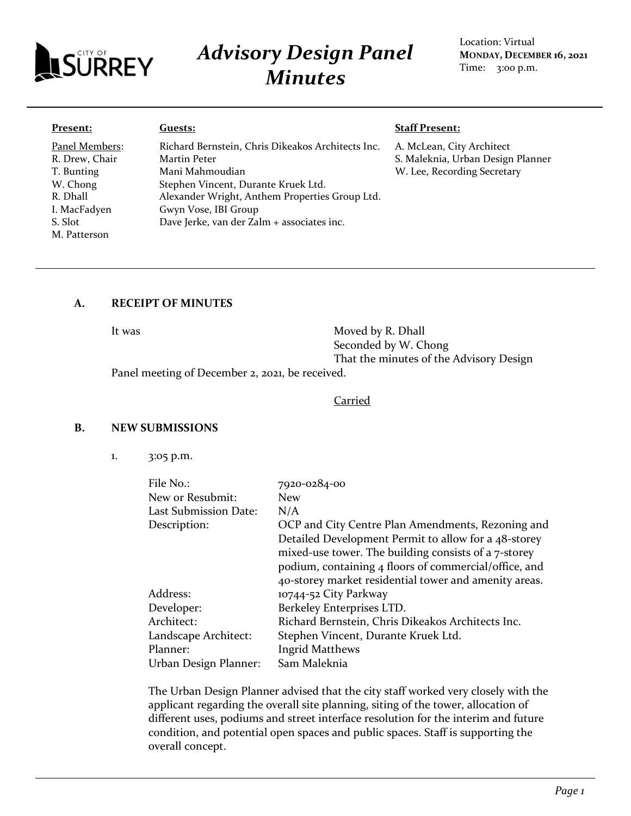

# *Advisory Design Panel Minutes*

Location: Virtual **MONDAY, DECEMBER 16, 2021** Time: 3:00 p.m.

#### **Present:**

Panel Members: R. Drew, Chair T. Bunting W. Chong R. Dhall I. MacFadyen S. Slot M. Patterson

#### **Guests:**

Richard Bernstein, Chris Dikeakos Architects Inc. Martin Peter Mani Mahmoudian Stephen Vincent, Durante Kruek Ltd. Alexander Wright, Anthem Properties Group Ltd. Gwyn Vose, IBI Group Dave Jerke, van der Zalm + associates inc.

#### **Staff Present:**

A. McLean, City Architect S. Maleknia, Urban Design Planner W. Lee, Recording Secretary

# **A. RECEIPT OF MINUTES**

It was Moved by R. Dhall Seconded by W. Chong That the minutes of the Advisory Design

Panel meeting of December 2, 2021, be received.

#### Carried

## **B. NEW SUBMISSIONS**

1. 3:05 p.m.

| File No.:             | 7920-0284-00                                          |
|-----------------------|-------------------------------------------------------|
| New or Resubmit:      | <b>New</b>                                            |
| Last Submission Date: | N/A                                                   |
| Description:          | OCP and City Centre Plan Amendments, Rezoning and     |
|                       | Detailed Development Permit to allow for a 48-storey  |
|                       | mixed-use tower. The building consists of a 7-storey  |
|                       | podium, containing 4 floors of commercial/office, and |
|                       | 40-storey market residential tower and amenity areas. |
| Address:              | 10744-52 City Parkway                                 |
| Developer:            | Berkeley Enterprises LTD.                             |
| Architect:            | Richard Bernstein, Chris Dikeakos Architects Inc.     |
| Landscape Architect:  | Stephen Vincent, Durante Kruek Ltd.                   |
| Planner:              | <b>Ingrid Matthews</b>                                |
| Urban Design Planner: | Sam Maleknia                                          |

The Urban Design Planner advised that the city staff worked very closely with the applicant regarding the overall site planning, siting of the tower, allocation of different uses, podiums and street interface resolution for the interim and future condition, and potential open spaces and public spaces. Staff is supporting the overall concept.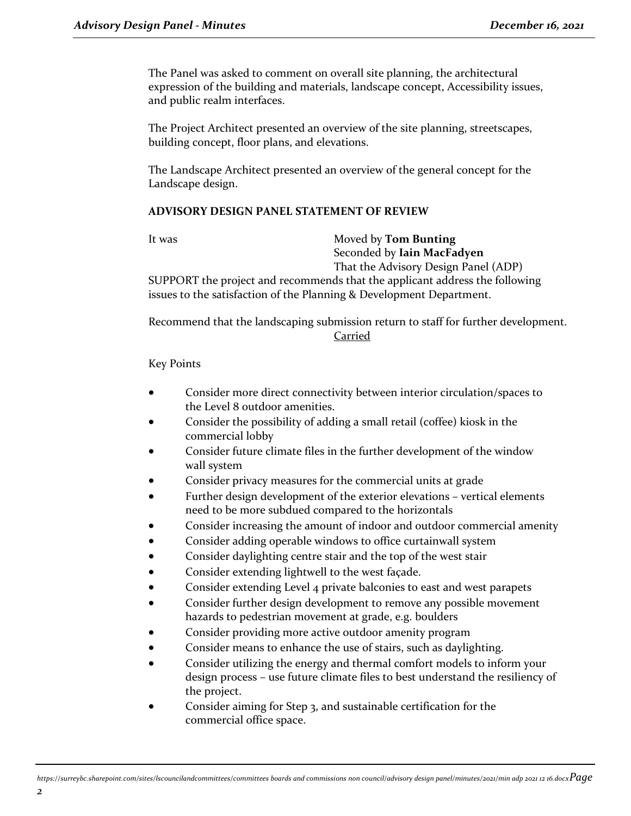The Panel was asked to comment on overall site planning, the architectural expression of the building and materials, landscape concept, Accessibility issues, and public realm interfaces.

The Project Architect presented an overview of the site planning, streetscapes, building concept, floor plans, and elevations.

The Landscape Architect presented an overview of the general concept for the Landscape design.

## **ADVISORY DESIGN PANEL STATEMENT OF REVIEW**

#### It was Moved by **Tom Bunting** Seconded by **Iain MacFadyen** That the Advisory Design Panel (ADP)

SUPPORT the project and recommends that the applicant address the following issues to the satisfaction of the Planning & Development Department.

Recommend that the landscaping submission return to staff for further development. Carried

Key Points

- Consider more direct connectivity between interior circulation/spaces to the Level 8 outdoor amenities.
- Consider the possibility of adding a small retail (coffee) kiosk in the commercial lobby
- Consider future climate files in the further development of the window wall system
- Consider privacy measures for the commercial units at grade
- Further design development of the exterior elevations vertical elements need to be more subdued compared to the horizontals
- Consider increasing the amount of indoor and outdoor commercial amenity
- Consider adding operable windows to office curtainwall system
- Consider daylighting centre stair and the top of the west stair
- Consider extending lightwell to the west façade.
- Consider extending Level 4 private balconies to east and west parapets
- Consider further design development to remove any possible movement hazards to pedestrian movement at grade, e.g. boulders
- Consider providing more active outdoor amenity program
- Consider means to enhance the use of stairs, such as daylighting.
- Consider utilizing the energy and thermal comfort models to inform your design process – use future climate files to best understand the resiliency of the project.
- Consider aiming for Step 3, and sustainable certification for the commercial office space.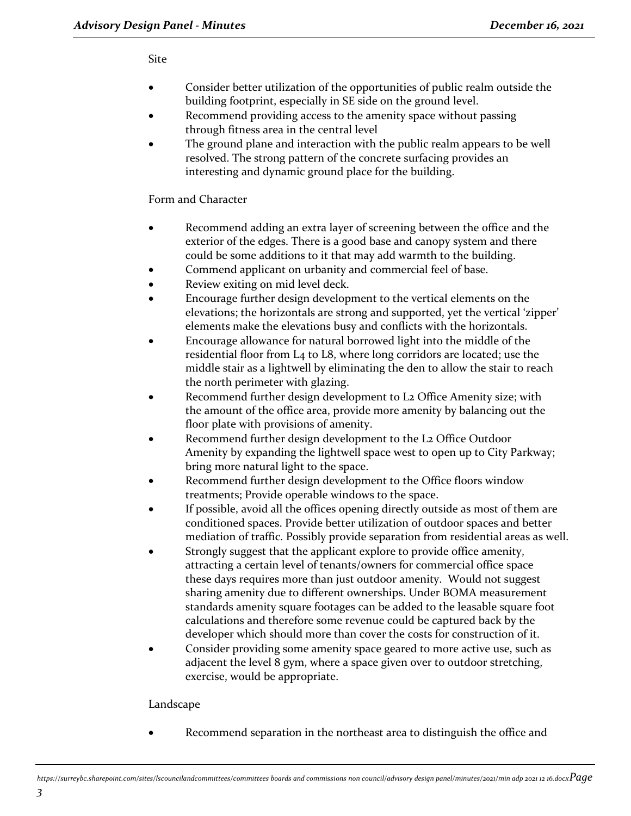## Site

- Consider better utilization of the opportunities of public realm outside the building footprint, especially in SE side on the ground level.
- Recommend providing access to the amenity space without passing through fitness area in the central level
- The ground plane and interaction with the public realm appears to be well resolved. The strong pattern of the concrete surfacing provides an interesting and dynamic ground place for the building.

# Form and Character

- Recommend adding an extra layer of screening between the office and the exterior of the edges. There is a good base and canopy system and there could be some additions to it that may add warmth to the building.
- Commend applicant on urbanity and commercial feel of base.
- Review exiting on mid level deck.
- Encourage further design development to the vertical elements on the elevations; the horizontals are strong and supported, yet the vertical 'zipper' elements make the elevations busy and conflicts with the horizontals.
- Encourage allowance for natural borrowed light into the middle of the residential floor from L4 to L8, where long corridors are located; use the middle stair as a lightwell by eliminating the den to allow the stair to reach the north perimeter with glazing.
- Recommend further design development to L2 Office Amenity size; with the amount of the office area, provide more amenity by balancing out the floor plate with provisions of amenity.
- Recommend further design development to the L2 Office Outdoor Amenity by expanding the lightwell space west to open up to City Parkway; bring more natural light to the space.
- Recommend further design development to the Office floors window treatments; Provide operable windows to the space.
- If possible, avoid all the offices opening directly outside as most of them are conditioned spaces. Provide better utilization of outdoor spaces and better mediation of traffic. Possibly provide separation from residential areas as well.
- Strongly suggest that the applicant explore to provide office amenity, attracting a certain level of tenants/owners for commercial office space these days requires more than just outdoor amenity. Would not suggest sharing amenity due to different ownerships. Under BOMA measurement standards amenity square footages can be added to the leasable square foot calculations and therefore some revenue could be captured back by the developer which should more than cover the costs for construction of it.
- Consider providing some amenity space geared to more active use, such as adjacent the level 8 gym, where a space given over to outdoor stretching, exercise, would be appropriate.

## Landscape

Recommend separation in the northeast area to distinguish the office and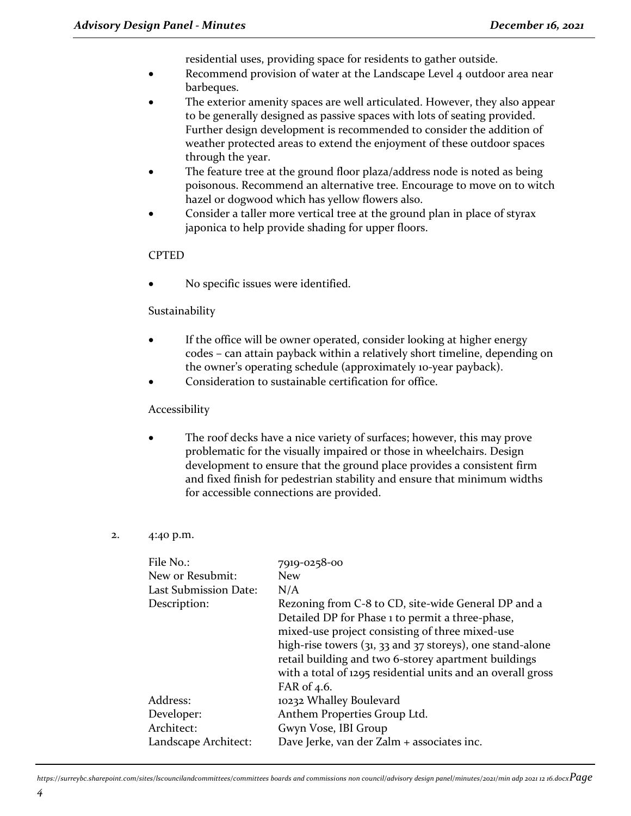residential uses, providing space for residents to gather outside.

- Recommend provision of water at the Landscape Level 4 outdoor area near barbeques.
- The exterior amenity spaces are well articulated. However, they also appear to be generally designed as passive spaces with lots of seating provided. Further design development is recommended to consider the addition of weather protected areas to extend the enjoyment of these outdoor spaces through the year.
- The feature tree at the ground floor plaza/address node is noted as being poisonous. Recommend an alternative tree. Encourage to move on to witch hazel or dogwood which has yellow flowers also.
- Consider a taller more vertical tree at the ground plan in place of styrax japonica to help provide shading for upper floors.

#### **CPTED**

No specific issues were identified.

#### Sustainability

- If the office will be owner operated, consider looking at higher energy codes – can attain payback within a relatively short timeline, depending on the owner's operating schedule (approximately 10-year payback).
- Consideration to sustainable certification for office.

#### Accessibility

The roof decks have a nice variety of surfaces; however, this may prove problematic for the visually impaired or those in wheelchairs. Design development to ensure that the ground place provides a consistent firm and fixed finish for pedestrian stability and ensure that minimum widths for accessible connections are provided.

#### 2. 4:40 p.m.

| File No.:<br>New or Resubmit:<br>Last Submission Date:<br>Description: | 7919-0258-00<br><b>New</b><br>N/A<br>Rezoning from C-8 to CD, site-wide General DP and a                                                                                                                                          |
|------------------------------------------------------------------------|-----------------------------------------------------------------------------------------------------------------------------------------------------------------------------------------------------------------------------------|
|                                                                        | Detailed DP for Phase 1 to permit a three-phase,<br>mixed-use project consisting of three mixed-use<br>high-rise towers $(31, 33, 32)$ and $37$ storeys), one stand-alone<br>retail building and two 6-storey apartment buildings |
|                                                                        | with a total of 1295 residential units and an overall gross<br>FAR of 4.6.                                                                                                                                                        |
| Address:                                                               | 10232 Whalley Boulevard                                                                                                                                                                                                           |
| Developer:                                                             | Anthem Properties Group Ltd.                                                                                                                                                                                                      |
| Architect:                                                             | Gwyn Vose, IBI Group                                                                                                                                                                                                              |
| Landscape Architect:                                                   | Dave Jerke, van der Zalm + associates inc.                                                                                                                                                                                        |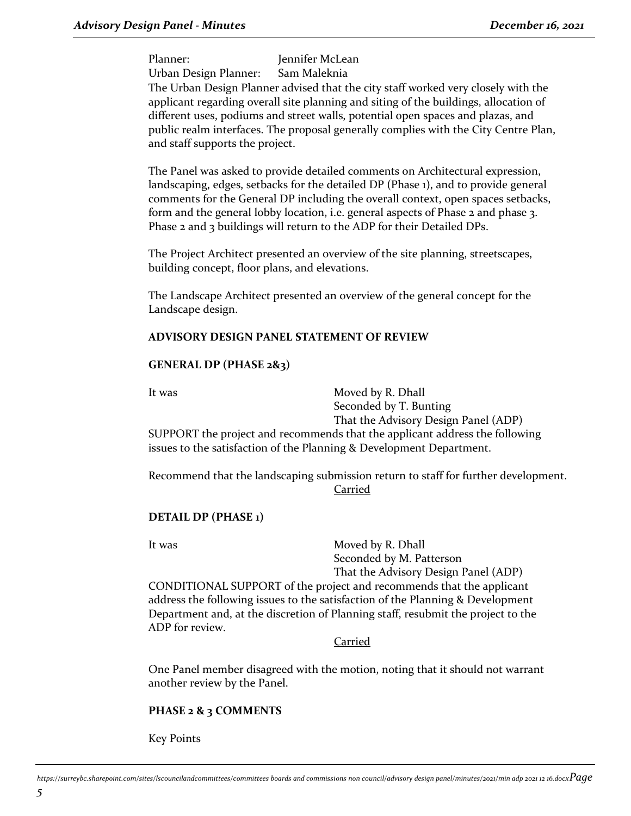Planner: Jennifer McLean Urban Design Planner: Sam Maleknia

The Urban Design Planner advised that the city staff worked very closely with the applicant regarding overall site planning and siting of the buildings, allocation of different uses, podiums and street walls, potential open spaces and plazas, and public realm interfaces. The proposal generally complies with the City Centre Plan, and staff supports the project.

The Panel was asked to provide detailed comments on Architectural expression, landscaping, edges, setbacks for the detailed DP (Phase 1), and to provide general comments for the General DP including the overall context, open spaces setbacks, form and the general lobby location, i.e. general aspects of Phase 2 and phase 3. Phase 2 and 3 buildings will return to the ADP for their Detailed DPs.

The Project Architect presented an overview of the site planning, streetscapes, building concept, floor plans, and elevations.

The Landscape Architect presented an overview of the general concept for the Landscape design.

# **ADVISORY DESIGN PANEL STATEMENT OF REVIEW**

## **GENERAL DP (PHASE 2&3)**

It was Moved by R. Dhall Seconded by T. Bunting That the Advisory Design Panel (ADP)

SUPPORT the project and recommends that the applicant address the following issues to the satisfaction of the Planning & Development Department.

Recommend that the landscaping submission return to staff for further development. Carried

## **DETAIL DP (PHASE 1)**

It was Moved by R. Dhall Seconded by M. Patterson That the Advisory Design Panel (ADP)

CONDITIONAL SUPPORT of the project and recommends that the applicant address the following issues to the satisfaction of the Planning & Development Department and, at the discretion of Planning staff, resubmit the project to the ADP for review.

Carried

One Panel member disagreed with the motion, noting that it should not warrant another review by the Panel.

## **PHASE 2 & 3 COMMENTS**

Key Points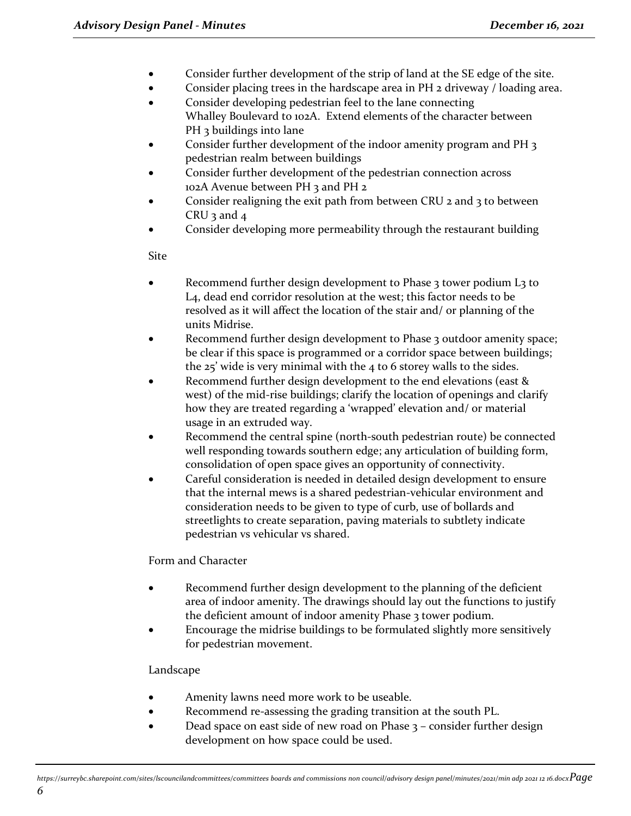- Consider further development of the strip of land at the SE edge of the site.
- Consider placing trees in the hardscape area in PH 2 driveway / loading area.
- Consider developing pedestrian feel to the lane connecting Whalley Boulevard to 102A. Extend elements of the character between PH 3 buildings into lane
- Consider further development of the indoor amenity program and PH 3 pedestrian realm between buildings
- Consider further development of the pedestrian connection across 102A Avenue between PH 3 and PH 2
- Consider realigning the exit path from between CRU 2 and 3 to between CRU  $3$  and  $4$
- Consider developing more permeability through the restaurant building

Site

- Recommend further design development to Phase 3 tower podium L3 to L4, dead end corridor resolution at the west; this factor needs to be resolved as it will affect the location of the stair and/ or planning of the units Midrise.
- Recommend further design development to Phase 3 outdoor amenity space; be clear if this space is programmed or a corridor space between buildings; the 25' wide is very minimal with the 4 to 6 storey walls to the sides.
- Recommend further design development to the end elevations (east & west) of the mid-rise buildings; clarify the location of openings and clarify how they are treated regarding a 'wrapped' elevation and/ or material usage in an extruded way.
- Recommend the central spine (north-south pedestrian route) be connected well responding towards southern edge; any articulation of building form, consolidation of open space gives an opportunity of connectivity.
- Careful consideration is needed in detailed design development to ensure that the internal mews is a shared pedestrian-vehicular environment and consideration needs to be given to type of curb, use of bollards and streetlights to create separation, paving materials to subtlety indicate pedestrian vs vehicular vs shared.

## Form and Character

- Recommend further design development to the planning of the deficient area of indoor amenity. The drawings should lay out the functions to justify the deficient amount of indoor amenity Phase 3 tower podium.
- Encourage the midrise buildings to be formulated slightly more sensitively for pedestrian movement.

# Landscape

- Amenity lawns need more work to be useable.
- Recommend re-assessing the grading transition at the south PL.
- Dead space on east side of new road on Phase 3 consider further design development on how space could be used.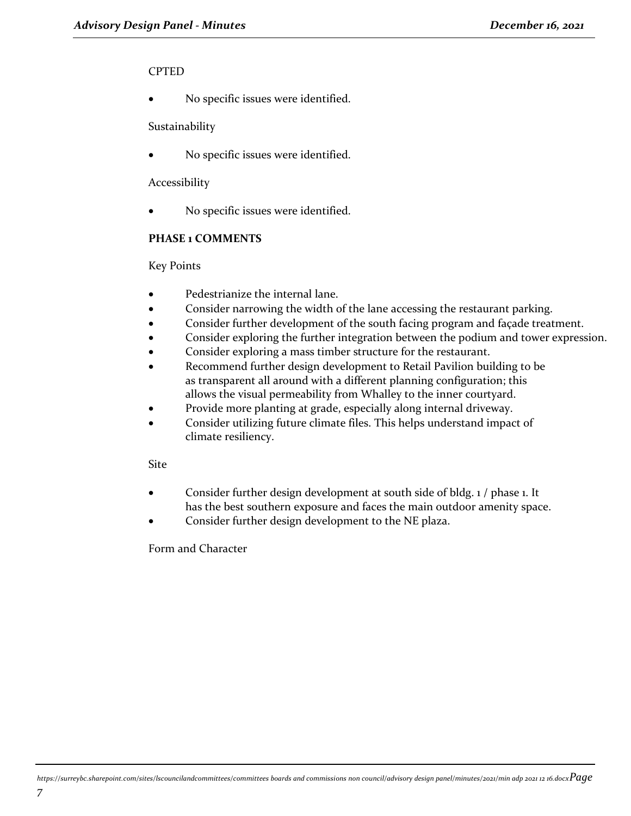#### CPTED

No specific issues were identified.

#### Sustainability

No specific issues were identified.

#### Accessibility

No specific issues were identified.

# **PHASE 1 COMMENTS**

Key Points

- Pedestrianize the internal lane.
- Consider narrowing the width of the lane accessing the restaurant parking.
- Consider further development of the south facing program and façade treatment.
- Consider exploring the further integration between the podium and tower expression.
- Consider exploring a mass timber structure for the restaurant.
- Recommend further design development to Retail Pavilion building to be as transparent all around with a different planning configuration; this allows the visual permeability from Whalley to the inner courtyard.
- Provide more planting at grade, especially along internal driveway.
- Consider utilizing future climate files. This helps understand impact of climate resiliency.

## Site

- Consider further design development at south side of bldg. 1 / phase 1. It has the best southern exposure and faces the main outdoor amenity space.
- Consider further design development to the NE plaza.

Form and Character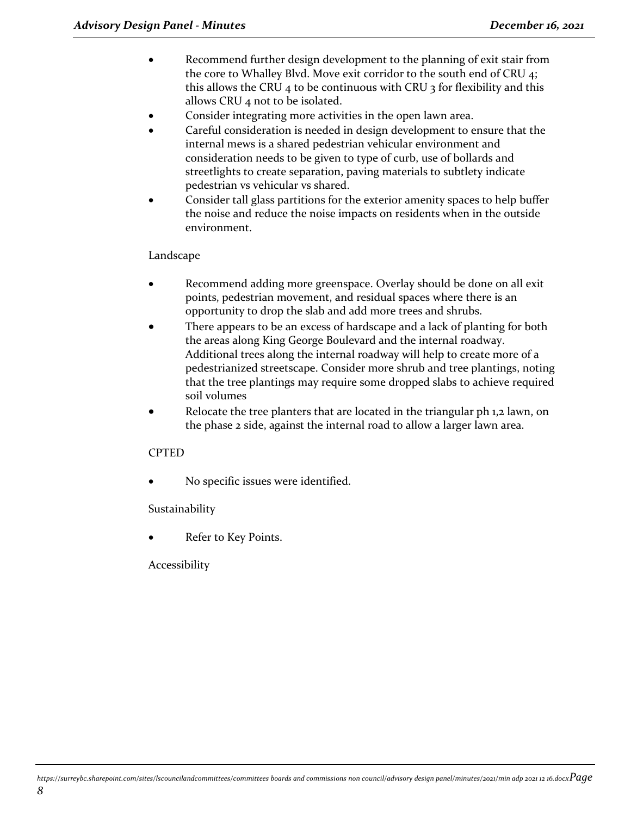- Recommend further design development to the planning of exit stair from the core to Whalley Blvd. Move exit corridor to the south end of CRU 4; this allows the CRU 4 to be continuous with CRU 3 for flexibility and this allows CRU 4 not to be isolated.
- Consider integrating more activities in the open lawn area.
- Careful consideration is needed in design development to ensure that the internal mews is a shared pedestrian vehicular environment and consideration needs to be given to type of curb, use of bollards and streetlights to create separation, paving materials to subtlety indicate pedestrian vs vehicular vs shared.
- Consider tall glass partitions for the exterior amenity spaces to help buffer the noise and reduce the noise impacts on residents when in the outside environment.

## Landscape

- Recommend adding more greenspace. Overlay should be done on all exit points, pedestrian movement, and residual spaces where there is an opportunity to drop the slab and add more trees and shrubs.
- There appears to be an excess of hardscape and a lack of planting for both the areas along King George Boulevard and the internal roadway. Additional trees along the internal roadway will help to create more of a pedestrianized streetscape. Consider more shrub and tree plantings, noting that the tree plantings may require some dropped slabs to achieve required soil volumes
- Relocate the tree planters that are located in the triangular ph 1,2 lawn, on the phase 2 side, against the internal road to allow a larger lawn area.

## CPTED

No specific issues were identified.

## Sustainability

Refer to Key Points.

Accessibility